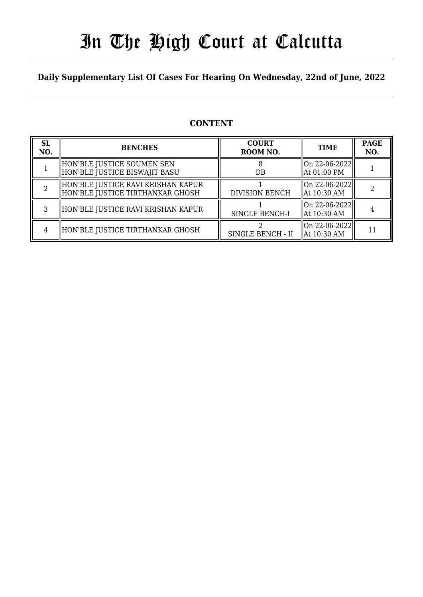# In The High Court at Calcutta

### **Daily Supplementary List Of Cases For Hearing On Wednesday, 22nd of June, 2022**

### **CONTENT**

| <b>SL</b><br>NO. | <b>BENCHES</b>                                                         | <b>COURT</b><br>ROOM NO. | <b>TIME</b>                      | <b>PAGE</b><br>NO. |
|------------------|------------------------------------------------------------------------|--------------------------|----------------------------------|--------------------|
|                  | HON'BLE JUSTICE SOUMEN SEN<br>HON'BLE JUSTICE BISWAJIT BASU            | $DB$                     | On 22-06-2022  <br>  At 01:00 PM |                    |
|                  | HON'BLE JUSTICE RAVI KRISHAN KAPUR<br>HON'BLE JUSTICE TIRTHANKAR GHOSH | <b>DIVISION BENCH</b>    | On 22-06-2022  <br>  At 10:30 AM |                    |
|                  | HON'BLE JUSTICE RAVI KRISHAN KAPUR                                     | SINGLE BENCH-I           | On 22-06-2022<br>  At 10:30 AM   |                    |
| 4                | HON'BLE JUSTICE TIRTHANKAR GHOSH                                       | SINGLE BENCH - II        | On 22-06-2022  <br>  At 10:30 AM | 11                 |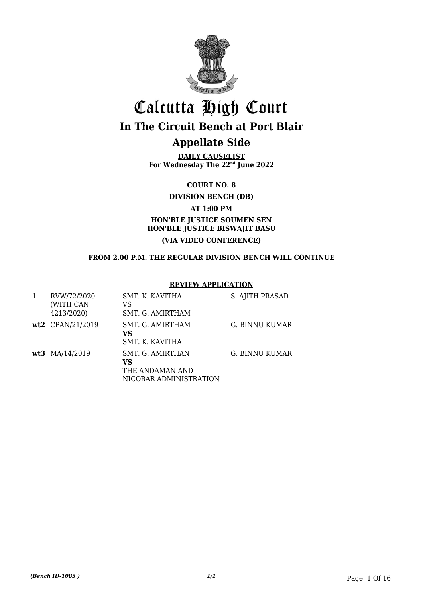

# Calcutta High Court **In The Circuit Bench at Port Blair**

### **Appellate Side**

**DAILY CAUSELIST For Wednesday The 22nd June 2022**

**COURT NO. 8**

**DIVISION BENCH (DB)**

**AT 1:00 PM**

### **HON'BLE JUSTICE SOUMEN SEN HON'BLE JUSTICE BISWAJIT BASU (VIA VIDEO CONFERENCE)**

#### **FROM 2.00 P.M. THE REGULAR DIVISION BENCH WILL CONTINUE**

#### **REVIEW APPLICATION**

| 1 | RVW/72/2020<br>(WITH CAN<br>4213/2020) | SMT. K. KAVITHA<br>VS<br>SMT. G. AMIRTHAM                           | S. AJITH PRASAD |
|---|----------------------------------------|---------------------------------------------------------------------|-----------------|
|   | wt2 CPAN/21/2019                       | SMT. G. AMIRTHAM<br>VS<br>SMT. K. KAVITHA                           | G. BINNU KUMAR  |
|   | wt3 MA/14/2019                         | SMT. G. AMIRTHAN<br>VS<br>THE ANDAMAN AND<br>NICOBAR ADMINISTRATION | G. BINNU KUMAR  |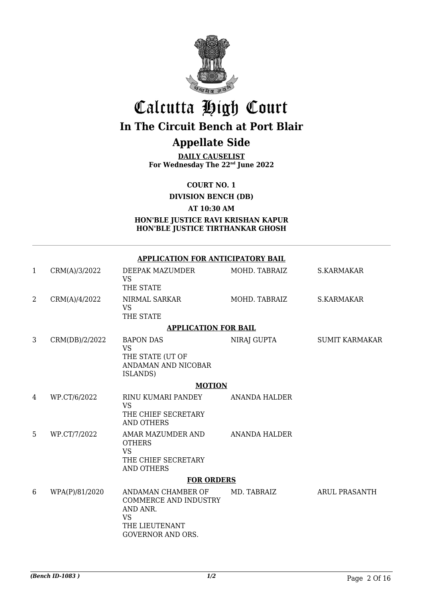

# Calcutta High Court **In The Circuit Bench at Port Blair**

### **Appellate Side**

**DAILY CAUSELIST For Wednesday The 22nd June 2022**

**COURT NO. 1**

**DIVISION BENCH (DB)**

**AT 10:30 AM**

**HON'BLE JUSTICE RAVI KRISHAN KAPUR HON'BLE JUSTICE TIRTHANKAR GHOSH**

|                | <b>APPLICATION FOR ANTICIPATORY BAIL</b> |                                                                                                                           |                      |                       |  |  |
|----------------|------------------------------------------|---------------------------------------------------------------------------------------------------------------------------|----------------------|-----------------------|--|--|
| 1              | CRM(A)/3/2022                            | DEEPAK MAZUMDER<br><b>VS</b><br>THE STATE                                                                                 | MOHD. TABRAIZ        | <b>S.KARMAKAR</b>     |  |  |
| $\overline{2}$ | CRM(A)/4/2022                            | NIRMAL SARKAR<br><b>VS</b><br>THE STATE                                                                                   | MOHD. TABRAIZ        | <b>S.KARMAKAR</b>     |  |  |
|                |                                          | <b>APPLICATION FOR BAIL</b>                                                                                               |                      |                       |  |  |
| 3              | CRM(DB)/2/2022                           | <b>BAPON DAS</b><br><b>VS</b><br>THE STATE (UT OF<br>ANDAMAN AND NICOBAR<br>ISLANDS)                                      | NIRAJ GUPTA          | <b>SUMIT KARMAKAR</b> |  |  |
|                | <b>MOTION</b>                            |                                                                                                                           |                      |                       |  |  |
| 4              | WP.CT/6/2022                             | RINU KUMARI PANDEY<br><b>VS</b><br>THE CHIEF SECRETARY<br><b>AND OTHERS</b>                                               | <b>ANANDA HALDER</b> |                       |  |  |
| 5              | WP.CT/7/2022                             | AMAR MAZUMDER AND<br><b>OTHERS</b><br><b>VS</b><br>THE CHIEF SECRETARY<br><b>AND OTHERS</b>                               | <b>ANANDA HALDER</b> |                       |  |  |
|                |                                          | <b>FOR ORDERS</b>                                                                                                         |                      |                       |  |  |
| 6              | WPA(P)/81/2020                           | ANDAMAN CHAMBER OF<br><b>COMMERCE AND INDUSTRY</b><br>AND ANR.<br><b>VS</b><br>THE LIEUTENANT<br><b>GOVERNOR AND ORS.</b> | MD. TABRAIZ          | <b>ARUL PRASANTH</b>  |  |  |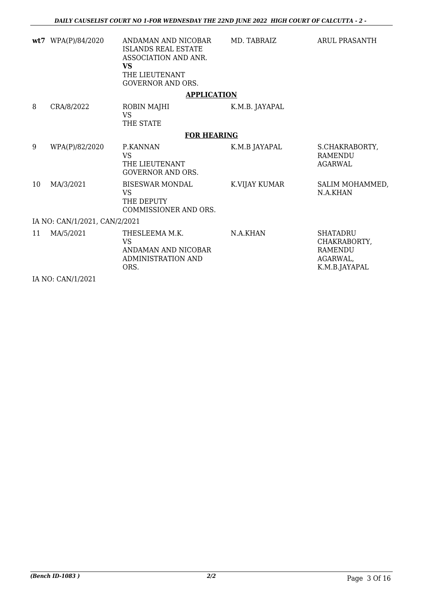|    | wt7 WPA(P)/84/2020            | ANDAMAN AND NICOBAR<br><b>ISLANDS REAL ESTATE</b><br>ASSOCIATION AND ANR.<br><b>VS</b><br>THE LIEUTENANT<br><b>GOVERNOR AND ORS.</b> | MD. TABRAIZ    | <b>ARUL PRASANTH</b>                                                    |
|----|-------------------------------|--------------------------------------------------------------------------------------------------------------------------------------|----------------|-------------------------------------------------------------------------|
|    |                               | <b>APPLICATION</b>                                                                                                                   |                |                                                                         |
| 8  | CRA/8/2022                    | ROBIN MAJHI<br><b>VS</b>                                                                                                             | K.M.B. JAYAPAL |                                                                         |
|    |                               | THE STATE                                                                                                                            |                |                                                                         |
|    |                               | <b>FOR HEARING</b>                                                                                                                   |                |                                                                         |
| 9  | WPA(P)/82/2020                | P.KANNAN<br><b>VS</b><br>THE LIEUTENANT<br><b>GOVERNOR AND ORS.</b>                                                                  | K.M.B JAYAPAL  | S.CHAKRABORTY,<br><b>RAMENDU</b><br><b>AGARWAL</b>                      |
| 10 | MA/3/2021                     | <b>BISESWAR MONDAL</b><br><b>VS</b><br>THE DEPUTY<br>COMMISSIONER AND ORS.                                                           | K.VIJAY KUMAR  | SALIM MOHAMMED,<br>N.A.KHAN                                             |
|    | IA NO: CAN/1/2021, CAN/2/2021 |                                                                                                                                      |                |                                                                         |
| 11 | MA/5/2021                     | THESLEEMA M.K.<br><b>VS</b><br>ANDAMAN AND NICOBAR<br><b>ADMINISTRATION AND</b><br>ORS.                                              | N.A.KHAN       | <b>SHATADRU</b><br>CHAKRABORTY,<br>RAMENDU<br>AGARWAL,<br>K.M.B.JAYAPAL |

IA NO: CAN/1/2021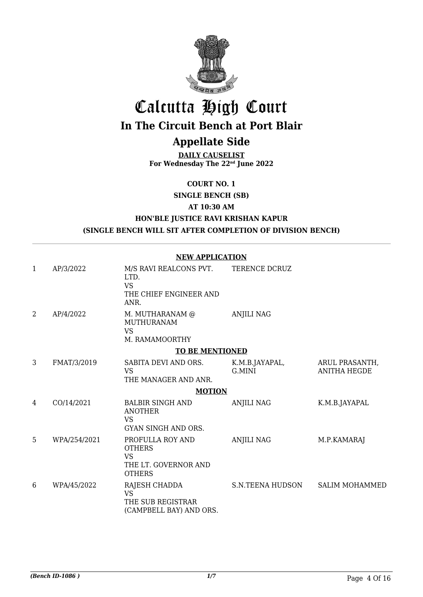

# Calcutta High Court

# **In The Circuit Bench at Port Blair**

### **Appellate Side**

**DAILY CAUSELIST For Wednesday The 22nd June 2022**

**COURT NO. 1**

**SINGLE BENCH (SB)**

**AT 10:30 AM**

### **HON'BLE JUSTICE RAVI KRISHAN KAPUR (SINGLE BENCH WILL SIT AFTER COMPLETION OF DIVISION BENCH)**

#### **NEW APPLICATION**

| 1 | AP/3/2022    | M/S RAVI REALCONS PVT.<br>LTD.<br><b>VS</b><br>THE CHIEF ENGINEER AND<br>ANR.           | TERENCE DCRUZ            |                                       |
|---|--------------|-----------------------------------------------------------------------------------------|--------------------------|---------------------------------------|
| 2 | AP/4/2022    | M. MUTHARANAM @<br><b>MUTHURANAM</b><br><b>VS</b><br>M. RAMAMOORTHY                     | <b>ANJILI NAG</b>        |                                       |
|   |              | <b>TO BE MENTIONED</b>                                                                  |                          |                                       |
| 3 | FMAT/3/2019  | SABITA DEVI AND ORS.<br><b>VS</b><br>THE MANAGER AND ANR.                               | K.M.B.JAYAPAL,<br>G.MINI | ARUL PRASANTH,<br><b>ANITHA HEGDE</b> |
|   |              | <b>MOTION</b>                                                                           |                          |                                       |
| 4 | CO/14/2021   | <b>BALBIR SINGH AND</b><br><b>ANOTHER</b><br><b>VS</b><br>GYAN SINGH AND ORS.           | <b>ANJILI NAG</b>        | K.M.B.JAYAPAL                         |
| 5 | WPA/254/2021 | PROFULLA ROY AND<br><b>OTHERS</b><br><b>VS</b><br>THE LT. GOVERNOR AND<br><b>OTHERS</b> | <b>ANJILI NAG</b>        | M.P.KAMARAJ                           |
| 6 | WPA/45/2022  | RAJESH CHADDA<br><b>VS</b><br>THE SUB REGISTRAR<br>(CAMPBELL BAY) AND ORS.              | S.N.TEENA HUDSON         | <b>SALIM MOHAMMED</b>                 |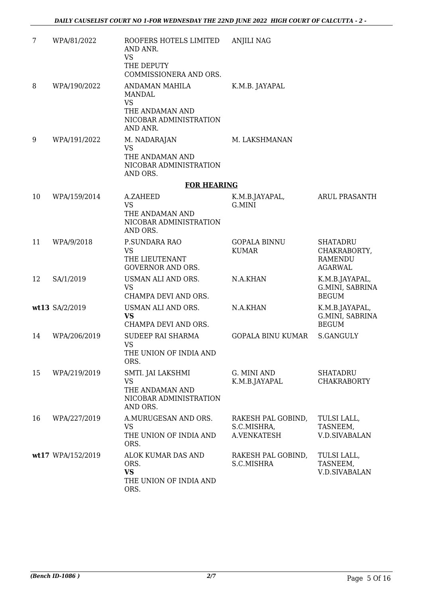| 7  | WPA/81/2022       | ROOFERS HOTELS LIMITED<br>AND ANR.<br><b>VS</b><br>THE DEPUTY<br>COMMISSIONERA AND ORS.        | <b>ANJILI NAG</b>                                |                                                                     |
|----|-------------------|------------------------------------------------------------------------------------------------|--------------------------------------------------|---------------------------------------------------------------------|
| 8  | WPA/190/2022      | ANDAMAN MAHILA<br>MANDAL<br><b>VS</b><br>THE ANDAMAN AND<br>NICOBAR ADMINISTRATION<br>AND ANR. | K.M.B. JAYAPAL                                   |                                                                     |
| 9  | WPA/191/2022      | M. NADARAJAN<br><b>VS</b><br>THE ANDAMAN AND<br>NICOBAR ADMINISTRATION<br>AND ORS.             | M. LAKSHMANAN                                    |                                                                     |
|    |                   | <b>FOR HEARING</b>                                                                             |                                                  |                                                                     |
| 10 | WPA/159/2014      | A.ZAHEED<br><b>VS</b><br>THE ANDAMAN AND<br>NICOBAR ADMINISTRATION<br>AND ORS.                 | K.M.B.JAYAPAL,<br><b>G.MINI</b>                  | ARUL PRASANTH                                                       |
| 11 | WPA/9/2018        | P.SUNDARA RAO<br><b>VS</b><br>THE LIEUTENANT<br><b>GOVERNOR AND ORS.</b>                       | <b>GOPALA BINNU</b><br><b>KUMAR</b>              | <b>SHATADRU</b><br>CHAKRABORTY,<br><b>RAMENDU</b><br><b>AGARWAL</b> |
| 12 | SA/1/2019         | USMAN ALI AND ORS.<br><b>VS</b><br>CHAMPA DEVI AND ORS.                                        | N.A.KHAN                                         | K.M.B.JAYAPAL,<br>G.MINI, SABRINA<br><b>BEGUM</b>                   |
|    | wt13 SA/2/2019    | USMAN ALI AND ORS.<br><b>VS</b><br>CHAMPA DEVI AND ORS.                                        | N.A.KHAN                                         | K.M.B.JAYAPAL,<br>G.MINI, SABRINA<br><b>BEGUM</b>                   |
| 14 | WPA/206/2019      | SUDEEP RAI SHARMA<br><b>VS</b><br>THE UNION OF INDIA AND<br>ORS.                               | GOPALA BINU KUMAR                                | <b>S.GANGULY</b>                                                    |
| 15 | WPA/219/2019      | SMTI. JAI LAKSHMI<br><b>VS</b><br>THE ANDAMAN AND<br>NICOBAR ADMINISTRATION<br>AND ORS.        | G. MINI AND<br>K.M.B.JAYAPAL                     | <b>SHATADRU</b><br><b>CHAKRABORTY</b>                               |
| 16 | WPA/227/2019      | A.MURUGESAN AND ORS.<br><b>VS</b><br>THE UNION OF INDIA AND<br>ORS.                            | RAKESH PAL GOBIND,<br>S.C.MISHRA,<br>A.VENKATESH | TULSI LALL,<br>TASNEEM,<br><b>V.D.SIVABALAN</b>                     |
|    | wt17 WPA/152/2019 | ALOK KUMAR DAS AND<br>ORS.<br><b>VS</b><br>THE UNION OF INDIA AND<br>ORS.                      | RAKESH PAL GOBIND,<br>S.C.MISHRA                 | TULSI LALL,<br>TASNEEM,<br><b>V.D.SIVABALAN</b>                     |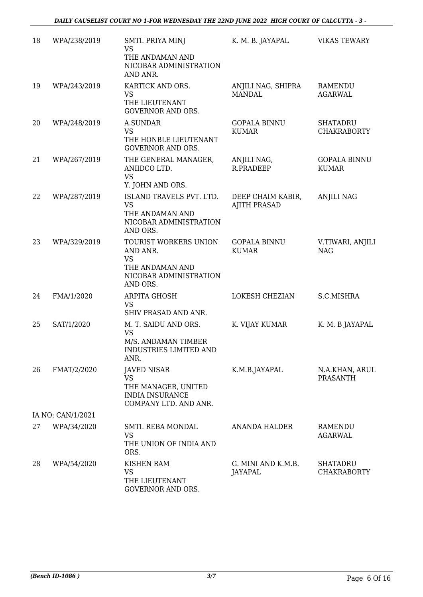| 18 | WPA/238/2019      | SMTI. PRIYA MINJ<br><b>VS</b><br>THE ANDAMAN AND<br>NICOBAR ADMINISTRATION<br>AND ANR.                    | K. M. B. JAYAPAL                         | <b>VIKAS TEWARY</b>                   |
|----|-------------------|-----------------------------------------------------------------------------------------------------------|------------------------------------------|---------------------------------------|
| 19 | WPA/243/2019      | KARTICK AND ORS.<br><b>VS</b><br>THE LIEUTENANT<br><b>GOVERNOR AND ORS.</b>                               | ANJILI NAG, SHIPRA<br><b>MANDAL</b>      | RAMENDU<br><b>AGARWAL</b>             |
| 20 | WPA/248/2019      | <b>A.SUNDAR</b><br><b>VS</b><br>THE HONBLE LIEUTENANT<br><b>GOVERNOR AND ORS.</b>                         | <b>GOPALA BINNU</b><br><b>KUMAR</b>      | <b>SHATADRU</b><br><b>CHAKRABORTY</b> |
| 21 | WPA/267/2019      | THE GENERAL MANAGER,<br>ANIIDCO LTD.<br><b>VS</b><br>Y. JOHN AND ORS.                                     | ANJILI NAG,<br>R.PRADEEP                 | <b>GOPALA BINNU</b><br><b>KUMAR</b>   |
| 22 | WPA/287/2019      | ISLAND TRAVELS PVT. LTD.<br><b>VS</b><br>THE ANDAMAN AND<br>NICOBAR ADMINISTRATION<br>AND ORS.            | DEEP CHAIM KABIR,<br><b>AJITH PRASAD</b> | <b>ANJILI NAG</b>                     |
| 23 | WPA/329/2019      | TOURIST WORKERS UNION<br>AND ANR.<br><b>VS</b><br>THE ANDAMAN AND<br>NICOBAR ADMINISTRATION<br>AND ORS.   | <b>GOPALA BINNU</b><br><b>KUMAR</b>      | V.TIWARI, ANJILI<br><b>NAG</b>        |
| 24 | FMA/1/2020        | ARPITA GHOSH<br><b>VS</b><br>SHIV PRASAD AND ANR.                                                         | LOKESH CHEZIAN                           | S.C.MISHRA                            |
| 25 | SAT/1/2020        | M. T. SAIDU AND ORS.<br><b>VS</b><br>M/S. ANDAMAN TIMBER<br>INDUSTRIES LIMITED AND<br>ANR.                | K. VIJAY KUMAR                           | K. M. B JAYAPAL                       |
| 26 | FMAT/2/2020       | <b>JAVED NISAR</b><br><b>VS</b><br>THE MANAGER, UNITED<br><b>INDIA INSURANCE</b><br>COMPANY LTD. AND ANR. | K.M.B.JAYAPAL                            | N.A.KHAN, ARUL<br><b>PRASANTH</b>     |
|    | IA NO: CAN/1/2021 |                                                                                                           |                                          |                                       |
| 27 | WPA/34/2020       | SMTI. REBA MONDAL<br><b>VS</b><br>THE UNION OF INDIA AND<br>ORS.                                          | ANANDA HALDER                            | RAMENDU<br><b>AGARWAL</b>             |
| 28 | WPA/54/2020       | <b>KISHEN RAM</b><br><b>VS</b><br>THE LIEUTENANT<br><b>GOVERNOR AND ORS.</b>                              | G. MINI AND K.M.B.<br>JAYAPAL            | <b>SHATADRU</b><br><b>CHAKRABORTY</b> |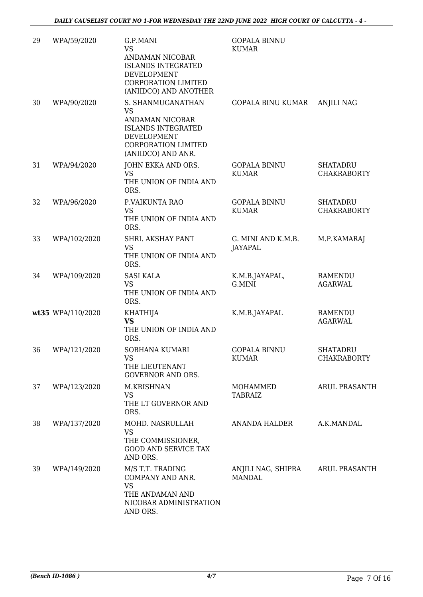| 29 | WPA/59/2020       | G.P.MANI<br><b>VS</b><br>ANDAMAN NICOBAR<br><b>ISLANDS INTEGRATED</b><br><b>DEVELOPMENT</b><br><b>CORPORATION LIMITED</b><br>(ANIIDCO) AND ANOTHER | <b>GOPALA BINNU</b><br><b>KUMAR</b>  |                                       |
|----|-------------------|----------------------------------------------------------------------------------------------------------------------------------------------------|--------------------------------------|---------------------------------------|
| 30 | WPA/90/2020       | S. SHANMUGANATHAN<br><b>VS</b><br>ANDAMAN NICOBAR<br><b>ISLANDS INTEGRATED</b><br>DEVELOPMENT<br>CORPORATION LIMITED<br>(ANIIDCO) AND ANR.         | GOPALA BINU KUMAR                    | <b>ANJILI NAG</b>                     |
| 31 | WPA/94/2020       | JOHN EKKA AND ORS.<br><b>VS</b><br>THE UNION OF INDIA AND<br>ORS.                                                                                  | <b>GOPALA BINNU</b><br><b>KUMAR</b>  | <b>SHATADRU</b><br><b>CHAKRABORTY</b> |
| 32 | WPA/96/2020       | P.VAIKUNTA RAO<br><b>VS</b><br>THE UNION OF INDIA AND<br>ORS.                                                                                      | <b>GOPALA BINNU</b><br><b>KUMAR</b>  | <b>SHATADRU</b><br><b>CHAKRABORTY</b> |
| 33 | WPA/102/2020      | SHRI. AKSHAY PANT<br><b>VS</b><br>THE UNION OF INDIA AND<br>ORS.                                                                                   | G. MINI AND K.M.B.<br><b>JAYAPAL</b> | M.P.KAMARAJ                           |
| 34 | WPA/109/2020      | <b>SASI KALA</b><br><b>VS</b><br>THE UNION OF INDIA AND<br>ORS.                                                                                    | K.M.B.JAYAPAL,<br>G.MINI             | RAMENDU<br><b>AGARWAL</b>             |
|    | wt35 WPA/110/2020 | <b>KHATHIJA</b><br><b>VS</b><br>THE UNION OF INDIA AND<br>ORS.                                                                                     | K.M.B.JAYAPAL                        | RAMENDU<br><b>AGARWAL</b>             |
| 36 | WPA/121/2020      | SOBHANA KUMARI<br><b>VS</b><br>THE LIEUTENANT<br><b>GOVERNOR AND ORS.</b>                                                                          | <b>GOPALA BINNU</b><br><b>KUMAR</b>  | <b>SHATADRU</b><br><b>CHAKRABORTY</b> |
| 37 | WPA/123/2020      | M.KRISHNAN<br>VS<br>THE LT GOVERNOR AND<br>ORS.                                                                                                    | MOHAMMED<br><b>TABRAIZ</b>           | ARUL PRASANTH                         |
| 38 | WPA/137/2020      | MOHD. NASRULLAH<br><b>VS</b><br>THE COMMISSIONER,<br><b>GOOD AND SERVICE TAX</b><br>AND ORS.                                                       | ANANDA HALDER                        | A.K.MANDAL                            |
| 39 | WPA/149/2020      | M/S T.T. TRADING<br>COMPANY AND ANR.<br><b>VS</b><br>THE ANDAMAN AND<br>NICOBAR ADMINISTRATION<br>AND ORS.                                         | ANJILI NAG, SHIPRA<br><b>MANDAL</b>  | <b>ARUL PRASANTH</b>                  |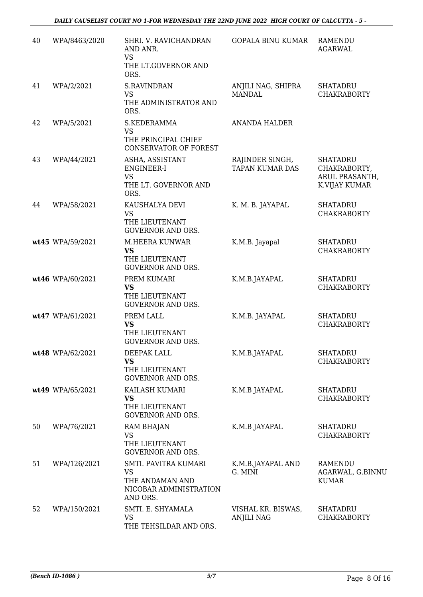| 40 | WPA/8463/2020    | SHRI. V. RAVICHANDRAN<br>AND ANR.<br><b>VS</b><br>THE LT.GOVERNOR AND<br>ORS.              | <b>GOPALA BINU KUMAR</b>                  | <b>RAMENDU</b><br><b>AGARWAL</b>                                   |
|----|------------------|--------------------------------------------------------------------------------------------|-------------------------------------------|--------------------------------------------------------------------|
| 41 | WPA/2/2021       | S.RAVINDRAN<br><b>VS</b><br>THE ADMINISTRATOR AND<br>ORS.                                  | ANJILI NAG, SHIPRA<br><b>MANDAL</b>       | <b>SHATADRU</b><br><b>CHAKRABORTY</b>                              |
| 42 | WPA/5/2021       | S.KEDERAMMA<br><b>VS</b><br>THE PRINCIPAL CHIEF<br><b>CONSERVATOR OF FOREST</b>            | <b>ANANDA HALDER</b>                      |                                                                    |
| 43 | WPA/44/2021      | ASHA, ASSISTANT<br>ENGINEER-I<br><b>VS</b><br>THE LT. GOVERNOR AND<br>ORS.                 | RAJINDER SINGH,<br><b>TAPAN KUMAR DAS</b> | <b>SHATADRU</b><br>CHAKRABORTY,<br>ARUL PRASANTH,<br>K.VIJAY KUMAR |
| 44 | WPA/58/2021      | KAUSHALYA DEVI<br><b>VS</b><br>THE LIEUTENANT<br><b>GOVERNOR AND ORS.</b>                  | K. M. B. JAYAPAL                          | <b>SHATADRU</b><br><b>CHAKRABORTY</b>                              |
|    | wt45 WPA/59/2021 | M.HEERA KUNWAR<br><b>VS</b><br>THE LIEUTENANT<br><b>GOVERNOR AND ORS.</b>                  | K.M.B. Jayapal                            | <b>SHATADRU</b><br><b>CHAKRABORTY</b>                              |
|    | wt46 WPA/60/2021 | PREM KUMARI<br><b>VS</b><br>THE LIEUTENANT<br><b>GOVERNOR AND ORS.</b>                     | K.M.B.JAYAPAL                             | <b>SHATADRU</b><br><b>CHAKRABORTY</b>                              |
|    | wt47 WPA/61/2021 | PREM LALL<br><b>VS</b><br>THE LIEUTENANT<br><b>GOVERNOR AND ORS.</b>                       | K.M.B. JAYAPAL                            | <b>SHATADRU</b><br><b>CHAKRABORTY</b>                              |
|    | wt48 WPA/62/2021 | DEEPAK LALL<br><b>VS</b><br>THE LIEUTENANT<br><b>GOVERNOR AND ORS.</b>                     | K.M.B.JAYAPAL                             | SHATADRU<br><b>CHAKRABORTY</b>                                     |
|    | wt49 WPA/65/2021 | KAILASH KUMARI<br><b>VS</b><br>THE LIEUTENANT<br><b>GOVERNOR AND ORS.</b>                  | K.M.B JAYAPAL                             | <b>SHATADRU</b><br><b>CHAKRABORTY</b>                              |
| 50 | WPA/76/2021      | <b>RAM BHAJAN</b><br><b>VS</b><br>THE LIEUTENANT<br><b>GOVERNOR AND ORS.</b>               | K.M.B JAYAPAL                             | <b>SHATADRU</b><br><b>CHAKRABORTY</b>                              |
| 51 | WPA/126/2021     | SMTI. PAVITRA KUMARI<br><b>VS</b><br>THE ANDAMAN AND<br>NICOBAR ADMINISTRATION<br>AND ORS. | K.M.B.JAYAPAL AND<br>G. MINI              | <b>RAMENDU</b><br>AGARWAL, G.BINNU<br><b>KUMAR</b>                 |
| 52 | WPA/150/2021     | SMTI. E. SHYAMALA<br><b>VS</b><br>THE TEHSILDAR AND ORS.                                   | VISHAL KR. BISWAS,<br><b>ANJILI NAG</b>   | <b>SHATADRU</b><br><b>CHAKRABORTY</b>                              |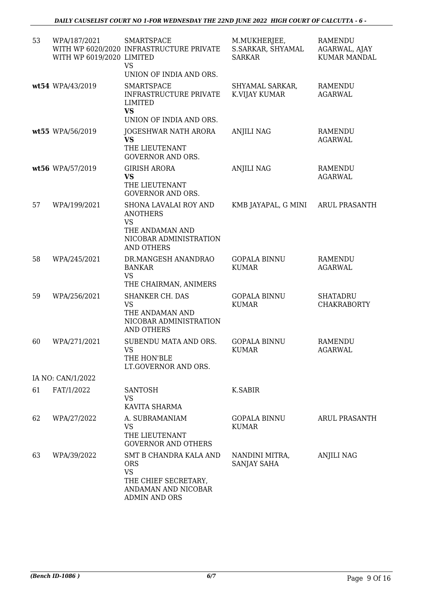| 53 | WPA/187/2021<br>WITH WP 6019/2020 LIMITED | <b>SMARTSPACE</b><br>WITH WP 6020/2020 INFRASTRUCTURE PRIVATE<br><b>VS</b><br>UNION OF INDIA AND ORS.             | M.MUKHERJEE,<br>S.SARKAR, SHYAMAL<br><b>SARKAR</b> | <b>RAMENDU</b><br>AGARWAL, AJAY<br><b>KUMAR MANDAL</b> |
|----|-------------------------------------------|-------------------------------------------------------------------------------------------------------------------|----------------------------------------------------|--------------------------------------------------------|
|    | wt54 WPA/43/2019                          | <b>SMARTSPACE</b><br><b>INFRASTRUCTURE PRIVATE</b><br>LIMITED<br><b>VS</b>                                        | SHYAMAL SARKAR,<br>K.VIJAY KUMAR                   | <b>RAMENDU</b><br><b>AGARWAL</b>                       |
|    |                                           | UNION OF INDIA AND ORS.                                                                                           |                                                    |                                                        |
|    | wt55 WPA/56/2019                          | JOGESHWAR NATH ARORA<br><b>VS</b>                                                                                 | <b>ANJILI NAG</b>                                  | RAMENDU<br><b>AGARWAL</b>                              |
|    |                                           | THE LIEUTENANT<br><b>GOVERNOR AND ORS.</b>                                                                        |                                                    |                                                        |
|    | wt56 WPA/57/2019                          | <b>GIRISH ARORA</b><br><b>VS</b>                                                                                  | <b>ANJILI NAG</b>                                  | <b>RAMENDU</b>                                         |
|    |                                           | THE LIEUTENANT<br><b>GOVERNOR AND ORS.</b>                                                                        |                                                    | <b>AGARWAL</b>                                         |
| 57 | WPA/199/2021                              | SHONA LAVALAI ROY AND<br><b>ANOTHERS</b><br><b>VS</b><br>THE ANDAMAN AND<br>NICOBAR ADMINISTRATION                | KMB JAYAPAL, G MINI                                | <b>ARUL PRASANTH</b>                                   |
| 58 | WPA/245/2021                              | <b>AND OTHERS</b><br>DR.MANGESH ANANDRAO                                                                          | <b>GOPALA BINNU</b>                                | <b>RAMENDU</b>                                         |
|    |                                           | <b>BANKAR</b><br><b>VS</b>                                                                                        | <b>KUMAR</b>                                       | <b>AGARWAL</b>                                         |
|    |                                           | THE CHAIRMAN, ANIMERS                                                                                             |                                                    |                                                        |
| 59 | WPA/256/2021                              | SHANKER CH. DAS<br><b>VS</b><br>THE ANDAMAN AND<br>NICOBAR ADMINISTRATION<br>AND OTHERS                           | <b>GOPALA BINNU</b><br><b>KUMAR</b>                | <b>SHATADRU</b><br><b>CHAKRABORTY</b>                  |
| 60 | WPA/271/2021                              | SUBENDU MATA AND ORS.<br><b>VS</b><br>THE HON'BLE<br>LT.GOVERNOR AND ORS.                                         | <b>GOPALA BINNU</b><br><b>KUMAR</b>                | <b>RAMENDU</b><br><b>AGARWAL</b>                       |
|    | IA NO: CAN/1/2022                         |                                                                                                                   |                                                    |                                                        |
| 61 | FAT/1/2022                                | <b>SANTOSH</b><br><b>VS</b><br>KAVITA SHARMA                                                                      | K.SABIR                                            |                                                        |
| 62 | WPA/27/2022                               | A. SUBRAMANIAM<br>VS<br>THE LIEUTENANT<br><b>GOVERNOR AND OTHERS</b>                                              | <b>GOPALA BINNU</b><br><b>KUMAR</b>                | <b>ARUL PRASANTH</b>                                   |
| 63 | WPA/39/2022                               | SMT B CHANDRA KALA AND<br><b>ORS</b><br><b>VS</b><br>THE CHIEF SECRETARY,<br>ANDAMAN AND NICOBAR<br>ADMIN AND ORS | NANDINI MITRA,<br>SANJAY SAHA                      | <b>ANJILI NAG</b>                                      |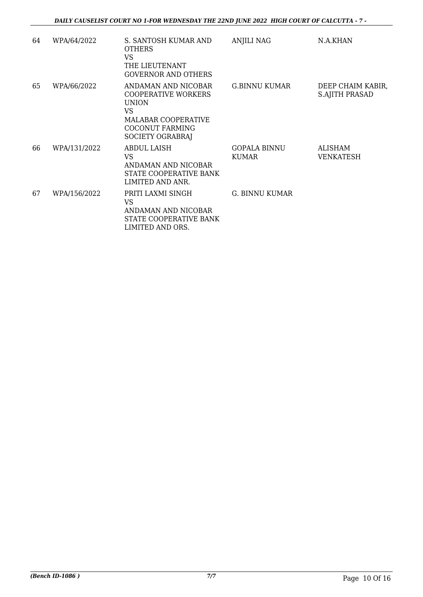| 64 | WPA/64/2022  | S. SANTOSH KUMAR AND<br><b>OTHERS</b><br>VS<br>THE LIEUTENANT<br><b>GOVERNOR AND OTHERS</b>                                                         | <b>ANJILI NAG</b>                   | N.A.KHAN                                   |
|----|--------------|-----------------------------------------------------------------------------------------------------------------------------------------------------|-------------------------------------|--------------------------------------------|
| 65 | WPA/66/2022  | ANDAMAN AND NICOBAR<br><b>COOPERATIVE WORKERS</b><br><b>UNION</b><br>VS<br><b>MALABAR COOPERATIVE</b><br><b>COCONUT FARMING</b><br>SOCIETY OGRABRAJ | G.BINNU KUMAR                       | DEEP CHAIM KABIR,<br><b>S.AJITH PRASAD</b> |
| 66 | WPA/131/2022 | ABDUL LAISH<br>VS<br>ANDAMAN AND NICOBAR<br>STATE COOPERATIVE BANK<br>LIMITED AND ANR.                                                              | <b>GOPALA BINNU</b><br><b>KUMAR</b> | ALISHAM<br>VENKATESH                       |
| 67 | WPA/156/2022 | PRITI LAXMI SINGH<br>VS<br>ANDAMAN AND NICOBAR<br>STATE COOPERATIVE BANK<br>LIMITED AND ORS.                                                        | G. BINNU KUMAR                      |                                            |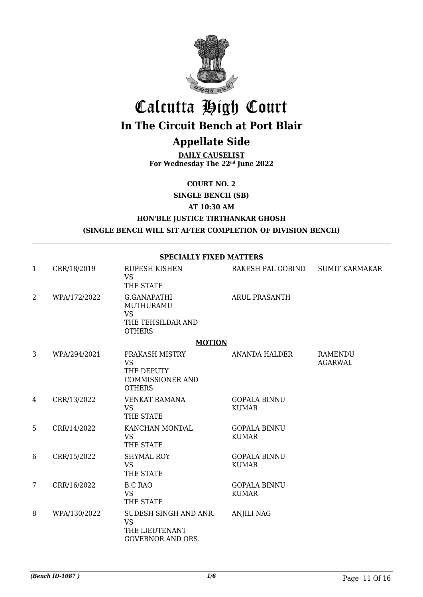

# Calcutta High Court

# **In The Circuit Bench at Port Blair**

## **Appellate Side**

**DAILY CAUSELIST For Wednesday The 22nd June 2022**

**COURT NO. 2**

**SINGLE BENCH (SB)**

**AT 10:30 AM**

### **HON'BLE JUSTICE TIRTHANKAR GHOSH (SINGLE BENCH WILL SIT AFTER COMPLETION OF DIVISION BENCH)**

**SPECIALLY FIXED MATTERS**

| 1              | CRR/18/2019  | RUPESH KISHEN<br><b>VS</b><br>THE STATE                                               | RAKESH PAL GOBIND                   | <b>SUMIT KARMAKAR</b>            |
|----------------|--------------|---------------------------------------------------------------------------------------|-------------------------------------|----------------------------------|
| $\overline{2}$ | WPA/172/2022 | G.GANAPATHI<br>MUTHURAMU<br><b>VS</b><br>THE TEHSILDAR AND<br><b>OTHERS</b>           | <b>ARUL PRASANTH</b>                |                                  |
|                |              | <b>MOTION</b>                                                                         |                                     |                                  |
| 3              | WPA/294/2021 | PRAKASH MISTRY<br><b>VS</b><br>THE DEPUTY<br><b>COMMISSIONER AND</b><br><b>OTHERS</b> | ANANDA HALDER                       | <b>RAMENDU</b><br><b>AGARWAL</b> |
| 4              | CRR/13/2022  | <b>VENKAT RAMANA</b><br><b>VS</b><br>THE STATE                                        | <b>GOPALA BINNU</b><br><b>KUMAR</b> |                                  |
| 5              | CRR/14/2022  | KANCHAN MONDAL<br><b>VS</b><br>THE STATE                                              | <b>GOPALA BINNU</b><br><b>KUMAR</b> |                                  |
| 6              | CRR/15/2022  | <b>SHYMAL ROY</b><br><b>VS</b><br>THE STATE                                           | <b>GOPALA BINNU</b><br><b>KUMAR</b> |                                  |
| $\overline{7}$ | CRR/16/2022  | <b>B.C RAO</b><br><b>VS</b><br>THE STATE                                              | <b>GOPALA BINNU</b><br><b>KUMAR</b> |                                  |
| 8              | WPA/130/2022 | SUDESH SINGH AND ANR.<br><b>VS</b><br>THE LIEUTENANT<br><b>GOVERNOR AND ORS.</b>      | <b>ANJILI NAG</b>                   |                                  |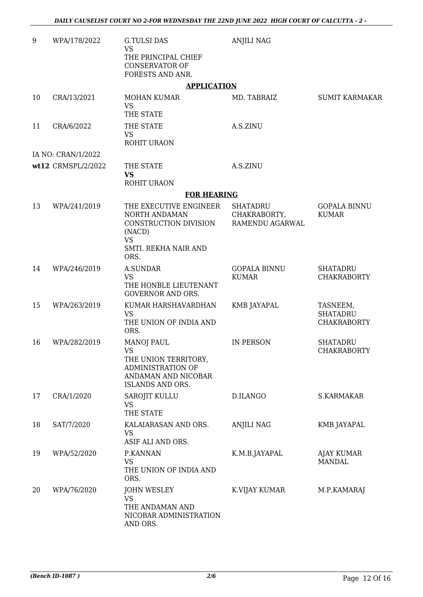| 9  | WPA/178/2022       | <b>G.TULSI DAS</b><br><b>VS</b><br>THE PRINCIPAL CHIEF<br><b>CONSERVATOR OF</b><br>FORESTS AND ANR.                     | <b>ANJILI NAG</b>                                  |                                                   |
|----|--------------------|-------------------------------------------------------------------------------------------------------------------------|----------------------------------------------------|---------------------------------------------------|
|    |                    | <b>APPLICATION</b>                                                                                                      |                                                    |                                                   |
| 10 | CRA/13/2021        | <b>MOHAN KUMAR</b><br><b>VS</b><br>THE STATE                                                                            | MD. TABRAIZ                                        | <b>SUMIT KARMAKAR</b>                             |
| 11 | CRA/6/2022         | THE STATE<br><b>VS</b><br>ROHIT URAON                                                                                   | A.S.ZINU                                           |                                                   |
|    | IA NO: CRAN/1/2022 |                                                                                                                         |                                                    |                                                   |
|    | wt12 CRMSPL/2/2022 | THE STATE<br><b>VS</b><br>ROHIT URAON                                                                                   | A.S.ZINU                                           |                                                   |
|    |                    | <b>FOR HEARING</b>                                                                                                      |                                                    |                                                   |
| 13 | WPA/241/2019       | THE EXECUTIVE ENGINEER<br>NORTH ANDAMAN<br>CONSTRUCTION DIVISION<br>(NACD)<br><b>VS</b><br>SMTI. REKHA NAIR AND<br>ORS. | <b>SHATADRU</b><br>CHAKRABORTY,<br>RAMENDU AGARWAL | <b>GOPALA BINNU</b><br><b>KUMAR</b>               |
| 14 | WPA/246/2019       | <b>A.SUNDAR</b><br><b>VS</b><br>THE HONBLE LIEUTENANT<br><b>GOVERNOR AND ORS.</b>                                       | <b>GOPALA BINNU</b><br><b>KUMAR</b>                | <b>SHATADRU</b><br><b>CHAKRABORTY</b>             |
| 15 | WPA/263/2019       | KUMAR HARSHAVARDHAN<br><b>VS</b><br>THE UNION OF INDIA AND<br>ORS.                                                      | KMB JAYAPAL                                        | TASNEEM,<br><b>SHATADRU</b><br><b>CHAKRABORTY</b> |
| 16 | WPA/282/2019       | <b>MANOJ PAUL</b><br>VS.<br>THE UNION TERRITORY,<br>ADMINISTRATION OF<br>ANDAMAN AND NICOBAR<br>ISLANDS AND ORS.        | <b>IN PERSON</b>                                   | <b>SHATADRU</b><br><b>CHAKRABORTY</b>             |
| 17 | CRA/1/2020         | <b>SAROJIT KULLU</b><br><b>VS</b><br>THE STATE                                                                          | D.ILANGO                                           | S.KARMAKAR                                        |
| 18 | SAT/7/2020         | KALAIARASAN AND ORS.<br><b>VS</b><br>ASIF ALI AND ORS.                                                                  | <b>ANJILI NAG</b>                                  | KMB JAYAPAL                                       |
| 19 | WPA/52/2020        | P.KANNAN<br><b>VS</b><br>THE UNION OF INDIA AND<br>ORS.                                                                 | K.M.B.JAYAPAL                                      | AJAY KUMAR<br><b>MANDAL</b>                       |
| 20 | WPA/76/2020        | <b>JOHN WESLEY</b><br><b>VS</b><br>THE ANDAMAN AND<br>NICOBAR ADMINISTRATION<br>AND ORS.                                | K.VIJAY KUMAR                                      | M.P.KAMARAJ                                       |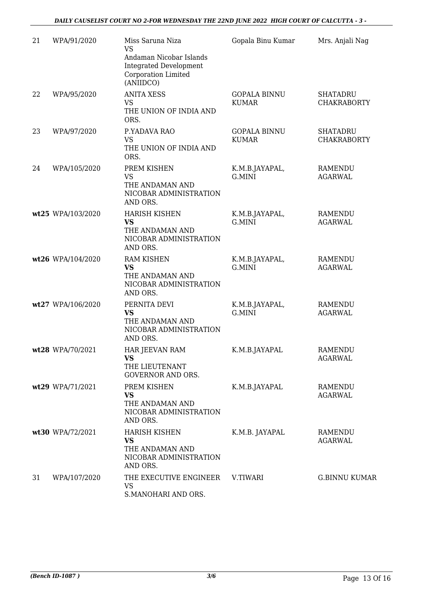| 21 | WPA/91/2020       | Miss Saruna Niza<br><b>VS</b>                                                                | Gopala Binu Kumar                   | Mrs. Anjali Nag                       |
|----|-------------------|----------------------------------------------------------------------------------------------|-------------------------------------|---------------------------------------|
|    |                   | Andaman Nicobar Islands<br><b>Integrated Development</b><br>Corporation Limited<br>(ANIIDCO) |                                     |                                       |
| 22 | WPA/95/2020       | <b>ANITA XESS</b><br><b>VS</b><br>THE UNION OF INDIA AND<br>ORS.                             | <b>GOPALA BINNU</b><br><b>KUMAR</b> | <b>SHATADRU</b><br><b>CHAKRABORTY</b> |
| 23 | WPA/97/2020       | P.YADAVA RAO<br><b>VS</b><br>THE UNION OF INDIA AND<br>ORS.                                  | <b>GOPALA BINNU</b><br><b>KUMAR</b> | <b>SHATADRU</b><br><b>CHAKRABORTY</b> |
| 24 | WPA/105/2020      | PREM KISHEN<br><b>VS</b><br>THE ANDAMAN AND<br>NICOBAR ADMINISTRATION<br>AND ORS.            | K.M.B.JAYAPAL,<br>G.MINI            | <b>RAMENDU</b><br><b>AGARWAL</b>      |
|    | wt25 WPA/103/2020 | <b>HARISH KISHEN</b><br><b>VS</b><br>THE ANDAMAN AND<br>NICOBAR ADMINISTRATION<br>AND ORS.   | K.M.B.JAYAPAL,<br>G.MINI            | <b>RAMENDU</b><br><b>AGARWAL</b>      |
|    | wt26 WPA/104/2020 | <b>RAM KISHEN</b><br><b>VS</b><br>THE ANDAMAN AND<br>NICOBAR ADMINISTRATION<br>AND ORS.      | K.M.B.JAYAPAL,<br>G.MINI            | <b>RAMENDU</b><br><b>AGARWAL</b>      |
|    | wt27 WPA/106/2020 | PERNITA DEVI<br><b>VS</b><br>THE ANDAMAN AND<br>NICOBAR ADMINISTRATION<br>AND ORS.           | K.M.B.JAYAPAL,<br>G.MINI            | RAMENDU<br><b>AGARWAL</b>             |
|    | wt28 WPA/70/2021  | HAR JEEVAN RAM<br><b>VS</b><br>THE LIEUTENANT<br><b>GOVERNOR AND ORS.</b>                    | K.M.B.JAYAPAL                       | <b>RAMENDU</b><br><b>AGARWAL</b>      |
|    | wt29 WPA/71/2021  | PREM KISHEN<br><b>VS</b><br>THE ANDAMAN AND<br>NICOBAR ADMINISTRATION<br>AND ORS.            | K.M.B.JAYAPAL                       | RAMENDU<br><b>AGARWAL</b>             |
|    | wt30 WPA/72/2021  | <b>HARISH KISHEN</b><br><b>VS</b><br>THE ANDAMAN AND<br>NICOBAR ADMINISTRATION<br>AND ORS.   | K.M.B. JAYAPAL                      | RAMENDU<br><b>AGARWAL</b>             |
| 31 | WPA/107/2020      | THE EXECUTIVE ENGINEER<br><b>VS</b><br>S.MANOHARI AND ORS.                                   | V.TIWARI                            | <b>G.BINNU KUMAR</b>                  |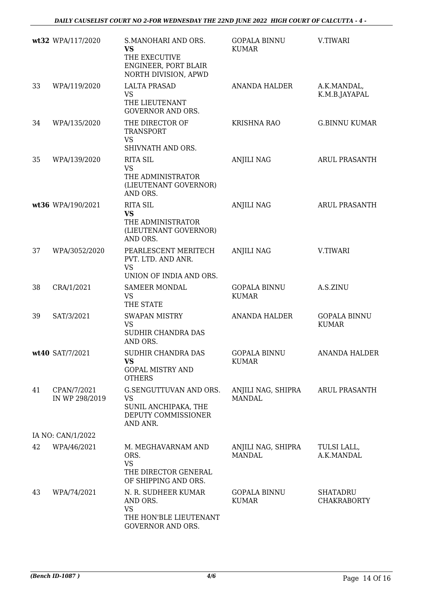|    | wt32 WPA/117/2020             | S.MANOHARI AND ORS.<br><b>VS</b><br>THE EXECUTIVE<br>ENGINEER, PORT BLAIR<br>NORTH DIVISION, APWD | <b>GOPALA BINNU</b><br><b>KUMAR</b> | V.TIWARI                              |
|----|-------------------------------|---------------------------------------------------------------------------------------------------|-------------------------------------|---------------------------------------|
| 33 | WPA/119/2020                  | <b>LALTA PRASAD</b><br><b>VS</b><br>THE LIEUTENANT<br><b>GOVERNOR AND ORS.</b>                    | ANANDA HALDER                       | A.K.MANDAL,<br>K.M.B.JAYAPAL          |
| 34 | WPA/135/2020                  | THE DIRECTOR OF<br><b>TRANSPORT</b><br><b>VS</b><br>SHIVNATH AND ORS.                             | KRISHNA RAO                         | <b>G.BINNU KUMAR</b>                  |
| 35 | WPA/139/2020                  | <b>RITA SIL</b><br><b>VS</b><br>THE ADMINISTRATOR<br>(LIEUTENANT GOVERNOR)<br>AND ORS.            | <b>ANJILI NAG</b>                   | <b>ARUL PRASANTH</b>                  |
|    | wt36 WPA/190/2021             | <b>RITA SIL</b><br><b>VS</b><br>THE ADMINISTRATOR<br>(LIEUTENANT GOVERNOR)<br>AND ORS.            | <b>ANJILI NAG</b>                   | <b>ARUL PRASANTH</b>                  |
| 37 | WPA/3052/2020                 | PEARLESCENT MERITECH<br>PVT. LTD. AND ANR.<br><b>VS</b><br>UNION OF INDIA AND ORS.                | <b>ANJILI NAG</b>                   | V.TIWARI                              |
| 38 | CRA/1/2021                    | <b>SAMEER MONDAL</b><br><b>VS</b><br>THE STATE                                                    | <b>GOPALA BINNU</b><br><b>KUMAR</b> | A.S.ZINU                              |
| 39 | SAT/3/2021                    | <b>SWAPAN MISTRY</b><br><b>VS</b><br>SUDHIR CHANDRA DAS<br>AND ORS.                               | <b>ANANDA HALDER</b>                | <b>GOPALA BINNU</b><br><b>KUMAR</b>   |
|    | wt40 SAT/7/2021               | SUDHIR CHANDRA DAS<br><b>VS</b><br><b>GOPAL MISTRY AND</b><br><b>OTHERS</b>                       | <b>GOPALA BINNU</b><br><b>KUMAR</b> | <b>ANANDA HALDER</b>                  |
| 41 | CPAN/7/2021<br>IN WP 298/2019 | G.SENGUTTUVAN AND ORS.<br><b>VS</b><br>SUNIL ANCHIPAKA, THE<br>DEPUTY COMMISSIONER<br>AND ANR.    | ANJILI NAG, SHIPRA<br><b>MANDAL</b> | <b>ARUL PRASANTH</b>                  |
|    | IA NO: CAN/1/2022             |                                                                                                   |                                     |                                       |
| 42 | WPA/46/2021                   | M. MEGHAVARNAM AND<br>ORS.<br><b>VS</b><br>THE DIRECTOR GENERAL<br>OF SHIPPING AND ORS.           | ANJILI NAG, SHIPRA<br><b>MANDAL</b> | TULSI LALL,<br>A.K.MANDAL             |
| 43 | WPA/74/2021                   | N. R. SUDHEER KUMAR<br>AND ORS.<br><b>VS</b><br>THE HON'BLE LIEUTENANT<br>GOVERNOR AND ORS.       | <b>GOPALA BINNU</b><br><b>KUMAR</b> | <b>SHATADRU</b><br><b>CHAKRABORTY</b> |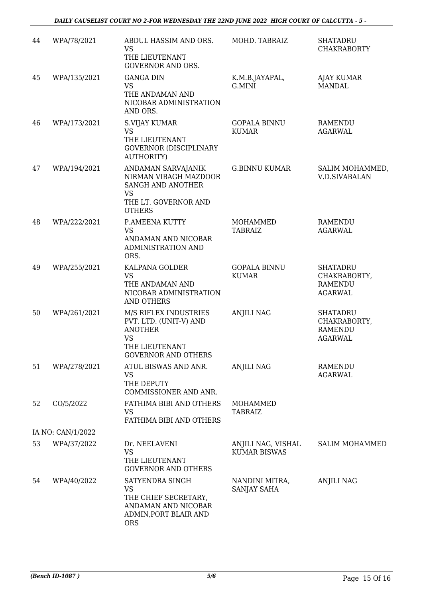| 44 | WPA/78/2021       | ABDUL HASSIM AND ORS.<br><b>VS</b><br>THE LIEUTENANT<br><b>GOVERNOR AND ORS.</b>                                               | MOHD. TABRAIZ                             | <b>SHATADRU</b><br><b>CHAKRABORTY</b>                               |
|----|-------------------|--------------------------------------------------------------------------------------------------------------------------------|-------------------------------------------|---------------------------------------------------------------------|
| 45 | WPA/135/2021      | <b>GANGA DIN</b><br><b>VS</b><br>THE ANDAMAN AND<br>NICOBAR ADMINISTRATION<br>AND ORS.                                         | K.M.B.JAYAPAL,<br>G.MINI                  | <b>AJAY KUMAR</b><br><b>MANDAL</b>                                  |
| 46 | WPA/173/2021      | S.VIJAY KUMAR<br>VS<br>THE LIEUTENANT<br><b>GOVERNOR (DISCIPLINARY</b><br><b>AUTHORITY)</b>                                    | <b>GOPALA BINNU</b><br><b>KUMAR</b>       | RAMENDU<br><b>AGARWAL</b>                                           |
| 47 | WPA/194/2021      | ANDAMAN SARVAJANIK<br>NIRMAN VIBAGH MAZDOOR<br>SANGH AND ANOTHER<br><b>VS</b><br>THE LT. GOVERNOR AND<br><b>OTHERS</b>         | <b>G.BINNU KUMAR</b>                      | SALIM MOHAMMED,<br><b>V.D.SIVABALAN</b>                             |
| 48 | WPA/222/2021      | P.AMEENA KUTTY<br><b>VS</b><br>ANDAMAN AND NICOBAR<br>ADMINISTRATION AND<br>ORS.                                               | <b>MOHAMMED</b><br><b>TABRAIZ</b>         | <b>RAMENDU</b><br><b>AGARWAL</b>                                    |
| 49 | WPA/255/2021      | KALPANA GOLDER<br><b>VS</b><br>THE ANDAMAN AND<br>NICOBAR ADMINISTRATION<br>AND OTHERS                                         | <b>GOPALA BINNU</b><br><b>KUMAR</b>       | <b>SHATADRU</b><br>CHAKRABORTY,<br><b>RAMENDU</b><br><b>AGARWAL</b> |
| 50 | WPA/261/2021      | M/S RIFLEX INDUSTRIES<br>PVT. LTD. (UNIT-V) AND<br><b>ANOTHER</b><br><b>VS</b><br>THE LIEUTENANT<br><b>GOVERNOR AND OTHERS</b> | <b>ANJILI NAG</b>                         | <b>SHATADRU</b><br>CHAKRABORTY,<br><b>RAMENDU</b><br><b>AGARWAL</b> |
| 51 | WPA/278/2021      | ATUL BISWAS AND ANR.<br><b>VS</b><br>THE DEPUTY<br>COMMISSIONER AND ANR.                                                       | <b>ANJILI NAG</b>                         | RAMENDU<br><b>AGARWAL</b>                                           |
| 52 | CO/5/2022         | FATHIMA BIBI AND OTHERS<br>VS<br>FATHIMA BIBI AND OTHERS                                                                       | MOHAMMED<br><b>TABRAIZ</b>                |                                                                     |
|    | IA NO: CAN/1/2022 |                                                                                                                                |                                           |                                                                     |
| 53 | WPA/37/2022       | Dr. NEELAVENI<br><b>VS</b><br>THE LIEUTENANT<br><b>GOVERNOR AND OTHERS</b>                                                     | ANJILI NAG, VISHAL<br><b>KUMAR BISWAS</b> | <b>SALIM MOHAMMED</b>                                               |
| 54 | WPA/40/2022       | SATYENDRA SINGH<br><b>VS</b><br>THE CHIEF SECRETARY,<br>ANDAMAN AND NICOBAR<br>ADMIN, PORT BLAIR AND<br><b>ORS</b>             | NANDINI MITRA,<br>SANJAY SAHA             | <b>ANJILI NAG</b>                                                   |